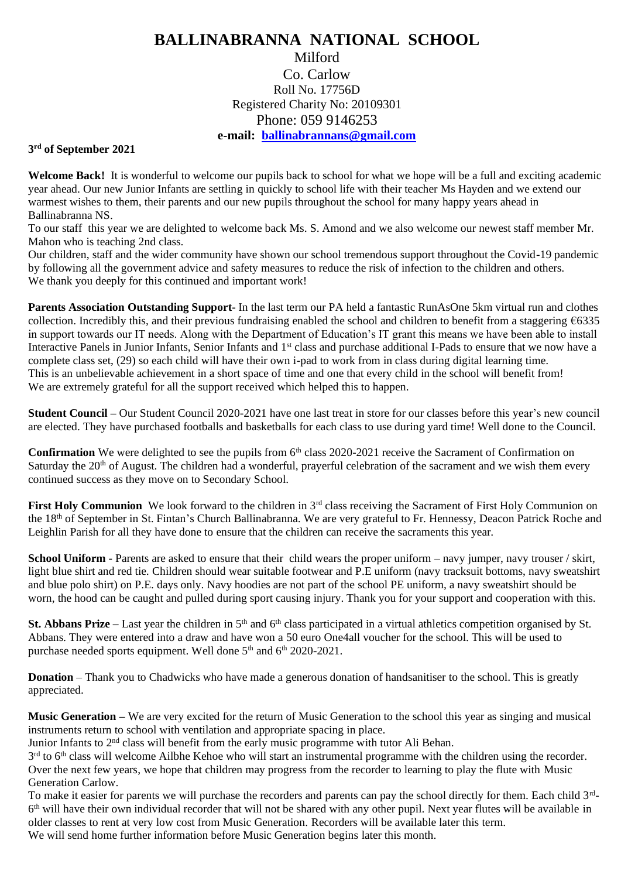## **BALLINABRANNA NATIONAL SCHOOL** Milford Co. Carlow Roll No. 17756D Registered Charity No: 20109301 Phone: 059 9146253

**e-mail: [ballinabrannans@gmail.com](mailto:ballinabrannans@gmail.com)**

## **3 rd of September 2021**

**Welcome Back!** It is wonderful to welcome our pupils back to school for what we hope will be a full and exciting academic year ahead. Our new Junior Infants are settling in quickly to school life with their teacher Ms Hayden and we extend our warmest wishes to them, their parents and our new pupils throughout the school for many happy years ahead in Ballinabranna NS.

To our staff this year we are delighted to welcome back Ms. S. Amond and we also welcome our newest staff member Mr. Mahon who is teaching 2nd class.

Our children, staff and the wider community have shown our school tremendous support throughout the Covid-19 pandemic by following all the government advice and safety measures to reduce the risk of infection to the children and others. We thank you deeply for this continued and important work!

**Parents Association Outstanding Support-** In the last term our PA held a fantastic RunAsOne 5km virtual run and clothes collection. Incredibly this, and their previous fundraising enabled the school and children to benefit from a staggering €6335 in support towards our IT needs. Along with the Department of Education's IT grant this means we have been able to install Interactive Panels in Junior Infants, Senior Infants and 1<sup>st</sup> class and purchase additional I-Pads to ensure that we now have a complete class set, (29) so each child will have their own i-pad to work from in class during digital learning time. This is an unbelievable achievement in a short space of time and one that every child in the school will benefit from! We are extremely grateful for all the support received which helped this to happen.

**Student Council –** Our Student Council 2020-2021 have one last treat in store for our classes before this year's new council are elected. They have purchased footballs and basketballs for each class to use during yard time! Well done to the Council.

**Confirmation** We were delighted to see the pupils from 6<sup>th</sup> class 2020-2021 receive the Sacrament of Confirmation on Saturday the  $20<sup>th</sup>$  of August. The children had a wonderful, prayerful celebration of the sacrament and we wish them every continued success as they move on to Secondary School.

**First Holy Communion** We look forward to the children in 3<sup>rd</sup> class receiving the Sacrament of First Holy Communion on the 18th of September in St. Fintan's Church Ballinabranna. We are very grateful to Fr. Hennessy, Deacon Patrick Roche and Leighlin Parish for all they have done to ensure that the children can receive the sacraments this year.

**School Uniform** - Parents are asked to ensure that their child wears the proper uniform – navy jumper, navy trouser / skirt, light blue shirt and red tie. Children should wear suitable footwear and P.E uniform (navy tracksuit bottoms, navy sweatshirt and blue polo shirt) on P.E. days only. Navy hoodies are not part of the school PE uniform, a navy sweatshirt should be worn, the hood can be caught and pulled during sport causing injury. Thank you for your support and cooperation with this.

**St. Abbans Prize** – Last year the children in 5<sup>th</sup> and 6<sup>th</sup> class participated in a virtual athletics competition organised by St. Abbans. They were entered into a draw and have won a 50 euro One4all voucher for the school. This will be used to purchase needed sports equipment. Well done 5<sup>th</sup> and 6<sup>th</sup> 2020-2021.

**Donation** – Thank you to Chadwicks who have made a generous donation of handsanitiser to the school. This is greatly appreciated.

**Music Generation –** We are very excited for the return of Music Generation to the school this year as singing and musical instruments return to school with ventilation and appropriate spacing in place.

Junior Infants to 2<sup>nd</sup> class will benefit from the early music programme with tutor Ali Behan.

3<sup>rd</sup> to 6<sup>th</sup> class will welcome Ailbhe Kehoe who will start an instrumental programme with the children using the recorder. Over the next few years, we hope that children may progress from the recorder to learning to play the flute with Music Generation Carlow.

To make it easier for parents we will purchase the recorders and parents can pay the school directly for them. Each child 3rd-6<sup>th</sup> will have their own individual recorder that will not be shared with any other pupil. Next year flutes will be available in older classes to rent at very low cost from Music Generation. Recorders will be available later this term. We will send home further information before Music Generation begins later this month.